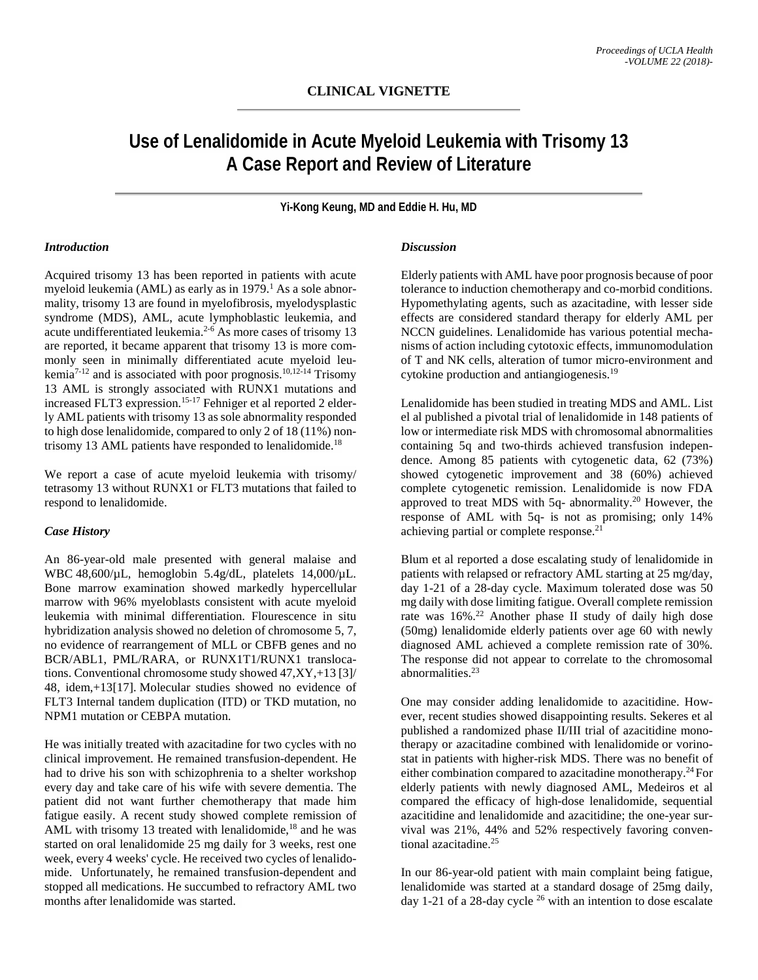# **Use of Lenalidomide in Acute Myeloid Leukemia with Trisomy 13 A Case Report and Review of Literature**

**Yi-Kong Keung, MD and Eddie H. Hu, MD**

### *Introduction*

Acquired trisomy 13 has been reported in patients with acute myeloid leukemia (AML) as early as in 1979. <sup>1</sup> As a sole abnormality, trisomy 13 are found in myelofibrosis, myelodysplastic syndrome (MDS), AML, acute lymphoblastic leukemia, and acute undifferentiated leukemia.2-6 As more cases of trisomy 13 are reported, it became apparent that trisomy 13 is more commonly seen in minimally differentiated acute myeloid leukemia<sup>7-12</sup> and is associated with poor prognosis.<sup>10,12-14</sup> Trisomy 13 AML is strongly associated with RUNX1 mutations and increased FLT3 expression. 15-17 Fehniger et al reported 2 elderly AML patients with trisomy 13 as sole abnormality responded to high dose lenalidomide, compared to only 2 of 18 (11%) nontrisomy 13 AML patients have responded to lenalidomide.<sup>18</sup>

We report a case of acute myeloid leukemia with trisomy/ tetrasomy 13 without RUNX1 or FLT3 mutations that failed to respond to lenalidomide.

### *Case History*

An 86-year-old male presented with general malaise and WBC 48,600/µL, hemoglobin 5.4g/dL, platelets 14,000/µL. Bone marrow examination showed markedly hypercellular marrow with 96% myeloblasts consistent with acute myeloid leukemia with minimal differentiation. Flourescence in situ hybridization analysis showed no deletion of chromosome 5, 7, no evidence of rearrangement of MLL or CBFB genes and no BCR/ABL1, PML/RARA, or RUNX1T1/RUNX1 translocations. Conventional chromosome study showed 47,XY,+13 [3]/ 48, idem,+13[17]. Molecular studies showed no evidence of FLT3 Internal tandem duplication (ITD) or TKD mutation, no NPM1 mutation or CEBPA mutation.

He was initially treated with azacitadine for two cycles with no clinical improvement. He remained transfusion-dependent. He had to drive his son with schizophrenia to a shelter workshop every day and take care of his wife with severe dementia. The patient did not want further chemotherapy that made him fatigue easily. A recent study showed complete remission of AML with trisomy 13 treated with lenalidomide,<sup>18</sup> and he was started on oral lenalidomide 25 mg daily for 3 weeks, rest one week, every 4 weeks' cycle. He received two cycles of lenalidomide. Unfortunately, he remained transfusion-dependent and stopped all medications. He succumbed to refractory AML two months after lenalidomide was started.

## *Discussion*

Elderly patients with AML have poor prognosis because of poor tolerance to induction chemotherapy and co-morbid conditions. Hypomethylating agents, such as azacitadine, with lesser side effects are considered standard therapy for elderly AML per NCCN guidelines. Lenalidomide has various potential mechanisms of action including cytotoxic effects, immunomodulation of T and NK cells, alteration of tumor micro-environment and cytokine production and antiangiogenesis. 19

Lenalidomide has been studied in treating MDS and AML. List el al published a pivotal trial of lenalidomide in 148 patients of low or intermediate risk MDS with chromosomal abnormalities containing 5q and two-thirds achieved transfusion independence. Among 85 patients with cytogenetic data, 62 (73%) showed cytogenetic improvement and 38 (60%) achieved complete cytogenetic remission. Lenalidomide is now FDA approved to treat MDS with 5q- abnormality. <sup>20</sup> However, the response of AML with 5q- is not as promising; only 14% achieving partial or complete response.<sup>21</sup>

Blum et al reported a dose escalating study of lenalidomide in patients with relapsed or refractory AML starting at 25 mg/day, day 1-21 of a 28-day cycle. Maximum tolerated dose was 50 mg daily with dose limiting fatigue. Overall complete remission rate was 16%. <sup>22</sup> Another phase II study of daily high dose (50mg) lenalidomide elderly patients over age 60 with newly diagnosed AML achieved a complete remission rate of 30%. The response did not appear to correlate to the chromosomal abnormalities. 23

One may consider adding lenalidomide to azacitidine. However, recent studies showed disappointing results. Sekeres et al published a randomized phase II/III trial of azacitidine monotherapy or azacitadine combined with lenalidomide or vorinostat in patients with higher-risk MDS. There was no benefit of either combination compared to azacitadine monotherapy. 24 For elderly patients with newly diagnosed AML, Medeiros et al compared the efficacy of high-dose lenalidomide, sequential azacitidine and lenalidomide and azacitidine; the one-year survival was 21%, 44% and 52% respectively favoring conventional azacitadine. 25

In our 86-year-old patient with main complaint being fatigue, lenalidomide was started at a standard dosage of 25mg daily, day 1-21 of a 28-day cycle 26 with an intention to dose escalate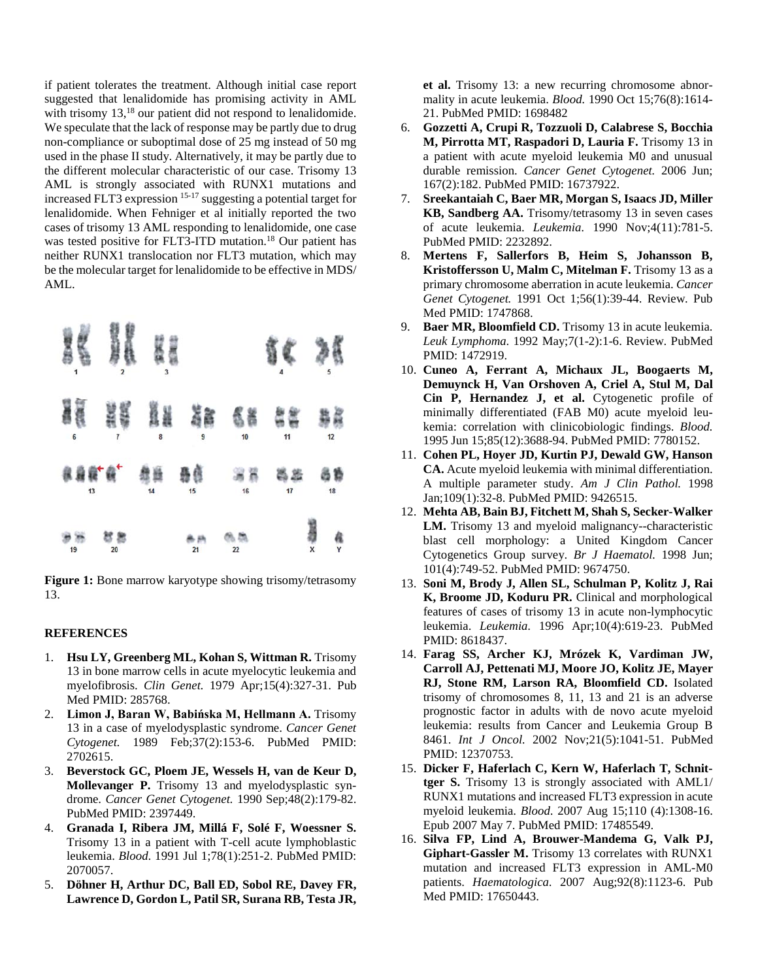if patient tolerates the treatment. Although initial case report suggested that lenalidomide has promising activity in AML with trisomy 13,<sup>18</sup> our patient did not respond to lenalidomide. We speculate that the lack of response may be partly due to drug non-compliance or suboptimal dose of 25 mg instead of 50 mg used in the phase II study. Alternatively, it may be partly due to the different molecular characteristic of our case. Trisomy 13 AML is strongly associated with RUNX1 mutations and increased FLT3 expression 15-17 suggesting a potential target for lenalidomide. When Fehniger et al initially reported the two cases of trisomy 13 AML responding to lenalidomide, one case was tested positive for FLT3-ITD mutation. <sup>18</sup> Our patient has neither RUNX1 translocation nor FLT3 mutation, which may be the molecular target for lenalidomide to be effective in MDS/ AML.



**Figure 1:** Bone marrow karyotype showing trisomy/tetrasomy 13.

### **REFERENCES**

- 1. **Hsu LY, Greenberg ML, Kohan S, Wittman R.** Trisomy 13 in bone marrow cells in acute myelocytic leukemia and myelofibrosis. *Clin Genet.* 1979 Apr;15(4):327-31. Pub Med PMID: 285768.
- 2. **Limon J, Baran W, Babińska M, Hellmann A.** Trisomy 13 in a case of myelodysplastic syndrome. *Cancer Genet Cytogenet.* 1989 Feb;37(2):153-6. PubMed PMID: 2702615.
- 3. **Beverstock GC, Ploem JE, Wessels H, van de Keur D, Mollevanger P.** Trisomy 13 and myelodysplastic syndrome. *Cancer Genet Cytogenet.* 1990 Sep;48(2):179-82. PubMed PMID: 2397449.
- 4. **Granada I, Ribera JM, Millá F, Solé F, Woessner S.** Trisomy 13 in a patient with T-cell acute lymphoblastic leukemia. *Blood.* 1991 Jul 1;78(1):251-2. PubMed PMID: 2070057.
- 5. **Döhner H, Arthur DC, Ball ED, Sobol RE, Davey FR, Lawrence D, Gordon L, Patil SR, Surana RB, Testa JR,**

**et al.** Trisomy 13: a new recurring chromosome abnormality in acute leukemia. *Blood.* 1990 Oct 15;76(8):1614- 21. PubMed PMID: 1698482

- 6. **Gozzetti A, Crupi R, Tozzuoli D, Calabrese S, Bocchia M, Pirrotta MT, Raspadori D, Lauria F.** Trisomy 13 in a patient with acute myeloid leukemia M0 and unusual durable remission. *Cancer Genet Cytogenet.* 2006 Jun; 167(2):182. PubMed PMID: 16737922.
- 7. **Sreekantaiah C, Baer MR, Morgan S, Isaacs JD, Miller KB, Sandberg AA.** Trisomy/tetrasomy 13 in seven cases of acute leukemia. *Leukemia.* 1990 Nov;4(11):781-5. PubMed PMID: 2232892.
- 8. **Mertens F, Sallerfors B, Heim S, Johansson B, Kristoffersson U, Malm C, Mitelman F.** Trisomy 13 as a primary chromosome aberration in acute leukemia. *Cancer Genet Cytogenet.* 1991 Oct 1;56(1):39-44. Review. Pub Med PMID: 1747868.
- 9. **Baer MR, Bloomfield CD.** Trisomy 13 in acute leukemia. *Leuk Lymphoma.* 1992 May;7(1-2):1-6. Review. PubMed PMID: 1472919.
- 10. **Cuneo A, Ferrant A, Michaux JL, Boogaerts M, Demuynck H, Van Orshoven A, Criel A, Stul M, Dal Cin P, Hernandez J, et al.** Cytogenetic profile of minimally differentiated (FAB M0) acute myeloid leukemia: correlation with clinicobiologic findings. *Blood.* 1995 Jun 15;85(12):3688-94. PubMed PMID: 7780152.
- 11. **Cohen PL, Hoyer JD, Kurtin PJ, Dewald GW, Hanson CA.** Acute myeloid leukemia with minimal differentiation. A multiple parameter study. *Am J Clin Pathol.* 1998 Jan;109(1):32-8. PubMed PMID: 9426515.
- 12. **Mehta AB, Bain BJ, Fitchett M, Shah S, Secker-Walker LM.** Trisomy 13 and myeloid malignancy--characteristic blast cell morphology: a United Kingdom Cancer Cytogenetics Group survey. *Br J Haematol.* 1998 Jun; 101(4):749-52. PubMed PMID: 9674750.
- 13. **Soni M, Brody J, Allen SL, Schulman P, Kolitz J, Rai K, Broome JD, Koduru PR.** Clinical and morphological features of cases of trisomy 13 in acute non-lymphocytic leukemia. *Leukemia.* 1996 Apr;10(4):619-23. PubMed PMID: 8618437.
- 14. **Farag SS, Archer KJ, Mrózek K, Vardiman JW, Carroll AJ, Pettenati MJ, Moore JO, Kolitz JE, Mayer RJ, Stone RM, Larson RA, Bloomfield CD.** Isolated trisomy of chromosomes 8, 11, 13 and 21 is an adverse prognostic factor in adults with de novo acute myeloid leukemia: results from Cancer and Leukemia Group B 8461. *Int J Oncol.* 2002 Nov;21(5):1041-51. PubMed PMID: 12370753.
- 15. **Dicker F, Haferlach C, Kern W, Haferlach T, Schnittger S.** Trisomy 13 is strongly associated with AML1/ RUNX1 mutations and increased FLT3 expression in acute myeloid leukemia. *Blood.* 2007 Aug 15;110 (4):1308-16. Epub 2007 May 7. PubMed PMID: 17485549.
- 16. **Silva FP, Lind A, Brouwer-Mandema G, Valk PJ, Giphart-Gassler M.** Trisomy 13 correlates with RUNX1 mutation and increased FLT3 expression in AML-M0 patients. *Haematologica.* 2007 Aug;92(8):1123-6. Pub Med PMID: 17650443.